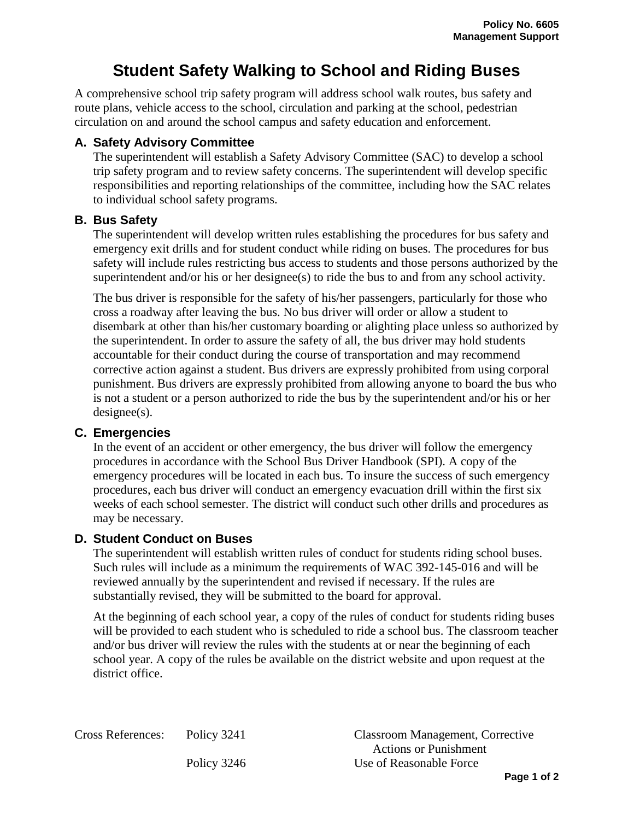# **Student Safety Walking to School and Riding Buses**

A comprehensive school trip safety program will address school walk routes, bus safety and route plans, vehicle access to the school, circulation and parking at the school, pedestrian circulation on and around the school campus and safety education and enforcement.

#### **A. Safety Advisory Committee**

The superintendent will establish a Safety Advisory Committee (SAC) to develop a school trip safety program and to review safety concerns. The superintendent will develop specific responsibilities and reporting relationships of the committee, including how the SAC relates to individual school safety programs.

### **B. Bus Safety**

The superintendent will develop written rules establishing the procedures for bus safety and emergency exit drills and for student conduct while riding on buses. The procedures for bus safety will include rules restricting bus access to students and those persons authorized by the superintendent and/or his or her designee(s) to ride the bus to and from any school activity.

The bus driver is responsible for the safety of his/her passengers, particularly for those who cross a roadway after leaving the bus. No bus driver will order or allow a student to disembark at other than his/her customary boarding or alighting place unless so authorized by the superintendent. In order to assure the safety of all, the bus driver may hold students accountable for their conduct during the course of transportation and may recommend corrective action against a student. Bus drivers are expressly prohibited from using corporal punishment. Bus drivers are expressly prohibited from allowing anyone to board the bus who is not a student or a person authorized to ride the bus by the superintendent and/or his or her designee(s).

## **C. Emergencies**

In the event of an accident or other emergency, the bus driver will follow the emergency procedures in accordance with the School Bus Driver Handbook (SPI). A copy of the emergency procedures will be located in each bus. To insure the success of such emergency procedures, each bus driver will conduct an emergency evacuation drill within the first six weeks of each school semester. The district will conduct such other drills and procedures as may be necessary.

## **D. Student Conduct on Buses**

The superintendent will establish written rules of conduct for students riding school buses. Such rules will include as a minimum the requirements of WAC 392-145-016 and will be reviewed annually by the superintendent and revised if necessary. If the rules are substantially revised, they will be submitted to the board for approval.

At the beginning of each school year, a copy of the rules of conduct for students riding buses will be provided to each student who is scheduled to ride a school bus. The classroom teacher and/or bus driver will review the rules with the students at or near the beginning of each school year. A copy of the rules be available on the district website and upon request at the district office.